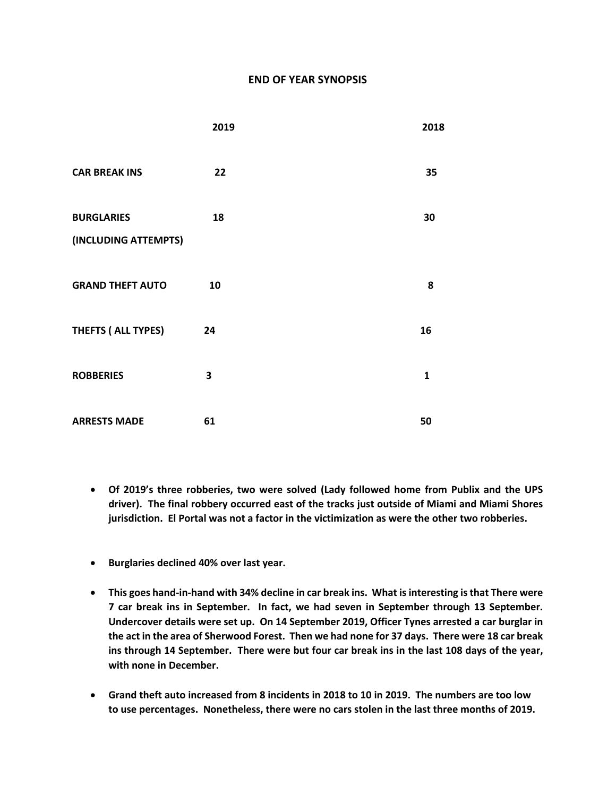## **END OF YEAR SYNOPSIS**

|                                           | 2019 | 2018         |
|-------------------------------------------|------|--------------|
| <b>CAR BREAK INS</b>                      | 22   | 35           |
| <b>BURGLARIES</b><br>(INCLUDING ATTEMPTS) | 18   | 30           |
| <b>GRAND THEFT AUTO</b>                   | 10   | 8            |
| THEFTS (ALL TYPES)                        | 24   | 16           |
| <b>ROBBERIES</b>                          | 3    | $\mathbf{1}$ |
| <b>ARRESTS MADE</b>                       | 61   | 50           |

- **Of 2019's three robberies, two were solved (Lady followed home from Publix and the UPS driver). The final robbery occurred east of the tracks just outside of Miami and Miami Shores jurisdiction. El Portal was not a factor in the victimization as were the other two robberies.**
- **Burglaries declined 40% over last year.**
- **This goes hand-in-hand with 34% decline in car break ins. What is interesting is that There were 7 car break ins in September. In fact, we had seven in September through 13 September. Undercover details were set up. On 14 September 2019, Officer Tynes arrested a car burglar in the act in the area of Sherwood Forest. Then we had none for 37 days. There were 18 car break ins through 14 September. There were but four car break ins in the last 108 days of the year, with none in December.**
- **Grand theft auto increased from 8 incidents in 2018 to 10 in 2019. The numbers are too low to use percentages. Nonetheless, there were no cars stolen in the last three months of 2019.**